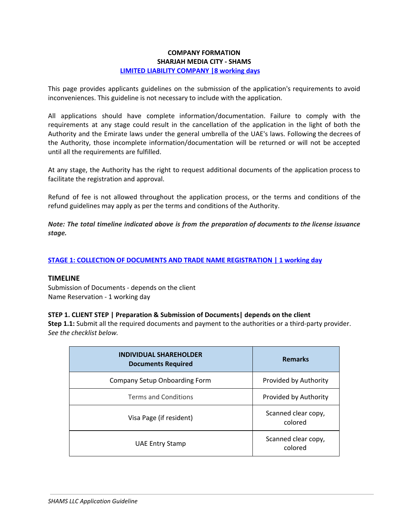### **COMPANY FORMATION SHARJAH MEDIA CITY - SHAMS LIMITED LIABILITY COMPANY |8 working days**

This page provides applicants guidelines on the submission of the application's requirements to avoid inconveniences. This guideline is not necessary to include with the application.

All applications should have complete information/documentation. Failure to comply with the requirements at any stage could result in the cancellation of the application in the light of both the Authority and the Emirate laws under the general umbrella of the UAE's laws. Following the decrees of the Authority, those incomplete information/documentation will be returned or will not be accepted until all the requirements are fulfilled.

At any stage, the Authority has the right to request additional documents of the application process to facilitate the registration and approval.

Refund of fee is not allowed throughout the application process, or the terms and conditions of the refund guidelines may apply as per the terms and conditions of the Authority.

*Note: The total timeline indicated above is from the preparation of documents to the license issuance stage.*

#### **STAGE 1: COLLECTION OF DOCUMENTS AND TRADE NAME REGISTRATION | 1 working day**

#### **TIMELINE**

Submission of Documents - depends on the client Name Reservation - 1 working day

#### **STEP 1. CLIENT STEP | Preparation & Submission of Documents| depends on the client**

**Step 1.1:** Submit all the required documents and payment to the authorities or a third-party provider. *See the checklist below.*

| <b>INDIVIDUAL SHAREHOLDER</b><br><b>Documents Required</b> | <b>Remarks</b>                 |
|------------------------------------------------------------|--------------------------------|
| Company Setup Onboarding Form                              | Provided by Authority          |
| <b>Terms and Conditions</b>                                | Provided by Authority          |
| Visa Page (if resident)                                    | Scanned clear copy,<br>colored |
| UAE Entry Stamp                                            | Scanned clear copy,<br>colored |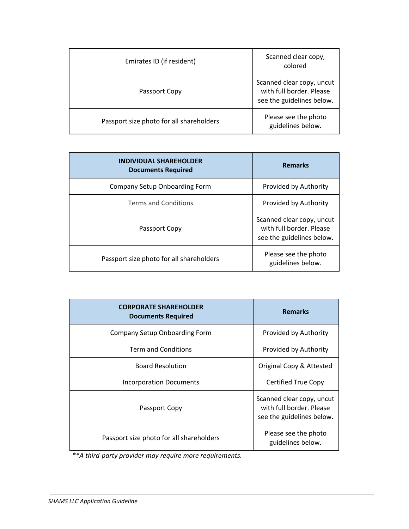| Emirates ID (if resident)                | Scanned clear copy,<br>colored                                                     |
|------------------------------------------|------------------------------------------------------------------------------------|
| Passport Copy                            | Scanned clear copy, uncut<br>with full border. Please<br>see the guidelines below. |
| Passport size photo for all shareholders | Please see the photo<br>guidelines below.                                          |

| <b>INDIVIDUAL SHAREHOLDER</b><br><b>Documents Required</b> | <b>Remarks</b>                                                                     |
|------------------------------------------------------------|------------------------------------------------------------------------------------|
| Company Setup Onboarding Form                              | Provided by Authority                                                              |
| <b>Terms and Conditions</b>                                | Provided by Authority                                                              |
| Passport Copy                                              | Scanned clear copy, uncut<br>with full border. Please<br>see the guidelines below. |
| Passport size photo for all shareholders                   | Please see the photo<br>guidelines below.                                          |

| <b>CORPORATE SHAREHOLDER</b><br><b>Documents Required</b> | <b>Remarks</b>                                                                     |
|-----------------------------------------------------------|------------------------------------------------------------------------------------|
| Company Setup Onboarding Form                             | Provided by Authority                                                              |
| <b>Term and Conditions</b>                                | Provided by Authority                                                              |
| <b>Board Resolution</b>                                   | Original Copy & Attested                                                           |
| Incorporation Documents                                   | Certified True Copy                                                                |
| Passport Copy                                             | Scanned clear copy, uncut<br>with full border. Please<br>see the guidelines below. |
| Passport size photo for all shareholders                  | Please see the photo<br>guidelines below.                                          |

*\*\*A third-party provider may require more requirements.*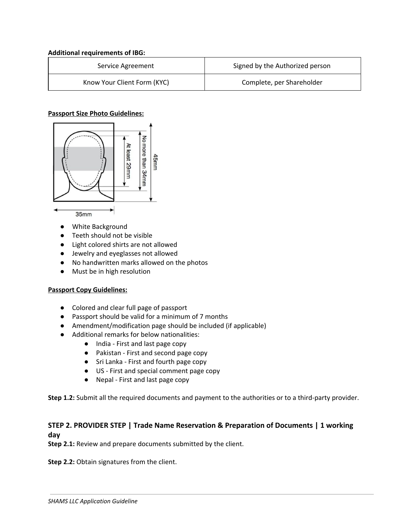#### **Additional requirements of IBG:**

| Service Agreement           | Signed by the Authorized person |
|-----------------------------|---------------------------------|
| Know Your Client Form (KYC) | Complete, per Shareholder       |

### **Passport Size Photo Guidelines:**



- **●** White Background
- **●** Teeth should not be visible
- **●** Light colored shirts are not allowed
- **●** Jewelry and eyeglasses not allowed
- **●** No handwritten marks allowed on the photos
- **●** Must be in high resolution

# **Passport Copy Guidelines:**

- Colored and clear full page of passport
- Passport should be valid for a minimum of 7 months
- Amendment/modification page should be included (if applicable)
- Additional remarks for below nationalities:
	- India First and last page copy
	- Pakistan First and second page copy
	- Sri Lanka First and fourth page copy
	- US First and special comment page copy
	- Nepal First and last page copy

**Step 1.2:** Submit all the required documents and payment to the authorities or to a third-party provider.

# **STEP 2. PROVIDER STEP | Trade Name Reservation & Preparation of Documents | 1 working day**

**Step 2.1:** Review and prepare documents submitted by the client.

**Step 2.2:** Obtain signatures from the client.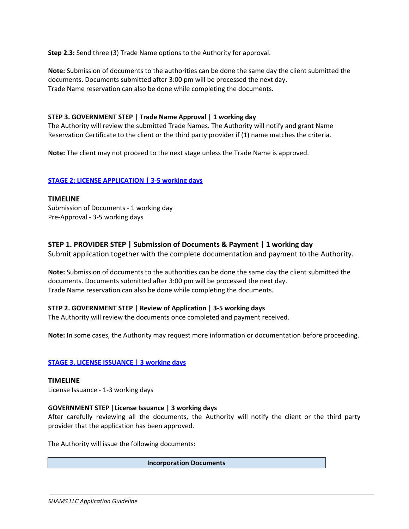**Step 2.3:** Send three (3) Trade Name options to the Authority for approval.

**Note:** Submission of documents to the authorities can be done the same day the client submitted the documents. Documents submitted after 3:00 pm will be processed the next day. Trade Name reservation can also be done while completing the documents.

### **STEP 3. GOVERNMENT STEP | Trade Name Approval | 1 working day**

The Authority will review the submitted Trade Names. The Authority will notify and grant Name Reservation Certificate to the client or the third party provider if (1) name matches the criteria.

**Note:** The client may not proceed to the next stage unless the Trade Name is approved.

### **STAGE 2: LICENSE APPLICATION | 3-5 working days**

### **TIMELINE**

Submission of Documents - 1 working day Pre-Approval - 3-5 working days

# **STEP 1. PROVIDER STEP | Submission of Documents & Payment | 1 working day**

Submit application together with the complete documentation and payment to the Authority.

**Note:** Submission of documents to the authorities can be done the same day the client submitted the documents. Documents submitted after 3:00 pm will be processed the next day. Trade Name reservation can also be done while completing the documents.

### **STEP 2. GOVERNMENT STEP | Review of Application | 3-5 working days**

The Authority will review the documents once completed and payment received.

**Note:** In some cases, the Authority may request more information or documentation before proceeding.

### **STAGE 3. LICENSE ISSUANCE | 3 working days**

**TIMELINE** License Issuance - 1-3 working days

### **GOVERNMENT STEP |License Issuance | 3 working days**

After carefully reviewing all the documents, the Authority will notify the client or the third party provider that the application has been approved.

The Authority will issue the following documents:

**Incorporation Documents**